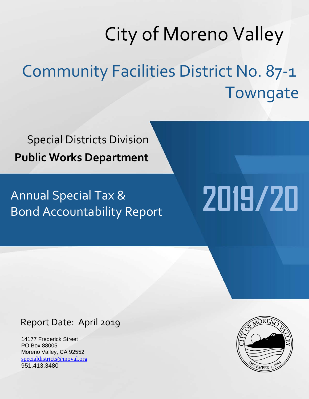# City of Moreno Valley Community Facilities District No. 87-1

Special Districts Division **Public Works Department**

Annual Special Tax & Bond Accountability Report

# Report Date: April 2019

14177 Frederick Street PO Box 88005 Moreno Valley, CA 92552 [specialdistricts@moval.org](mailto:specialdistricts@moval.org) 951.413.3480



**Towngate** 

**2019/20**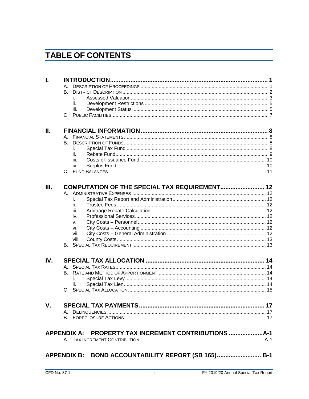# **TABLE OF CONTENTS**

| I.  |            |                                                     |  |
|-----|------------|-----------------------------------------------------|--|
|     |            |                                                     |  |
|     | <b>B</b> . |                                                     |  |
|     | İ.         |                                                     |  |
|     | ii.        |                                                     |  |
|     | iii.       |                                                     |  |
|     |            |                                                     |  |
| П.  |            |                                                     |  |
|     |            |                                                     |  |
|     |            |                                                     |  |
|     | i.         |                                                     |  |
|     | ii.        |                                                     |  |
|     | iii.       |                                                     |  |
|     | iv.        |                                                     |  |
|     |            |                                                     |  |
| Ш.  |            | COMPUTATION OF THE SPECIAL TAX REQUIREMENT 12       |  |
|     |            |                                                     |  |
|     | İ.         |                                                     |  |
|     | ii.        |                                                     |  |
|     | iii.       |                                                     |  |
|     | iv.        |                                                     |  |
|     | V.         |                                                     |  |
|     | vi.        |                                                     |  |
|     | vii.       |                                                     |  |
|     | viii.      |                                                     |  |
|     |            |                                                     |  |
| IV. |            |                                                     |  |
|     |            |                                                     |  |
|     |            |                                                     |  |
|     | İ.         |                                                     |  |
|     | ii.        |                                                     |  |
|     |            |                                                     |  |
| V.  |            |                                                     |  |
|     |            |                                                     |  |
|     |            |                                                     |  |
|     |            |                                                     |  |
|     |            | APPENDIX A: PROPERTY TAX INCREMENT CONTRIBUTIONS    |  |
|     |            |                                                     |  |
|     |            | APPENDIX B: BOND ACCOUNTABILITY REPORT (SB 165) B-1 |  |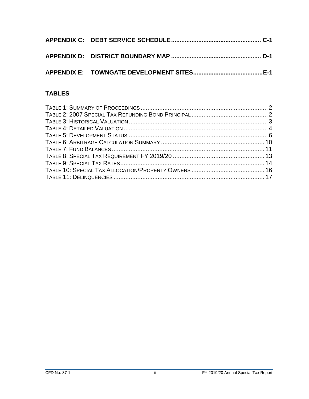# **TABLES**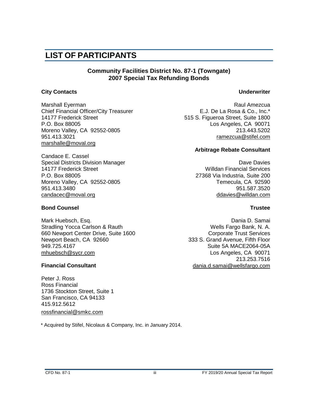# **LIST OF PARTICIPANTS**

#### **Community Facilities District No. 87-1 (Towngate) 2007 Special Tax Refunding Bonds**

#### **City Contacts Underwriter**

Marshall Eyerman **Raul Amezcua** Raul Amezcua Chief Financial Officer/City Treasurer **E.J. De La Rosa & Co., Inc.**\* 14177 Frederick Street 515 S. Figueroa Street, Suite 1800 P.O. Box 88005 Los Angeles, CA 90071 Moreno Valley, CA 92552-0805 213.443.5202 951.413.3021 [ramezcua@stifel.com](mailto:ramezcua@ejdelarosa.com) marshalle@moval.org

Candace E. Cassel Special Districts Division Manager **David Strutter and Science Convention** Dave Davies 14177 Frederick Street Willdan Financial Services P.O. Box 88005 27368 Via Industria, Suite 200 Moreno Valley, CA 92552-0805 Temecula, CA 92590 951.413.3480<br>candacec@moval.org

#### **Bond Counsel Trustee**

Mark Huebsch, Esq. Dania D. Samai Stradling Yocca Carlson & Rauth Wells Fargo Bank, N. A. 660 Newport Center Drive, Suite 1600 Corporate Trust Services Newport Beach, CA 92660 333 S. Grand Avenue, Fifth Floor 949.725.4167 Suite 5A MACE2064-05A [mhuebsch@sycr.com](mailto:mhuebsch@sycr.com) **Music Angeles, CA 90071** 

Peter J. Ross Ross Financial 1736 Stockton Street, Suite 1 San Francisco, CA 94133 415.912.5612 [rossfinancial@smkc.com](mailto:rossfinancial@smkc.com)

\* Acquired by Stifel, Nicolaus & Company, Inc. in January 2014.

#### **Arbitrage Rebate Consultant**

[ddavies@willdan.com](mailto:tspeer@nbsgov.com)

213.253.7516 **Financial Consultant** [dania.d.samai@wellsfargo.com](mailto:dania.d.samai@wellsfargo.com)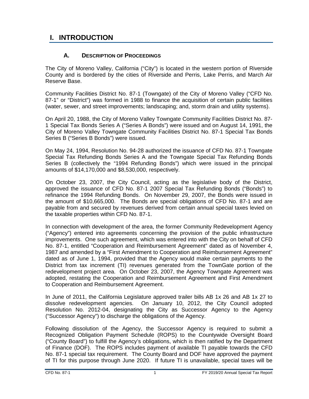# <span id="page-5-0"></span>**I. INTRODUCTION**

#### **A. DESCRIPTION OF PROCEEDINGS**

<span id="page-5-1"></span>The City of Moreno Valley, California ("City") is located in the western portion of Riverside County and is bordered by the cities of Riverside and Perris, Lake Perris, and March Air Reserve Base.

Community Facilities District No. 87-1 (Towngate) of the City of Moreno Valley ("CFD No. 87-1" or "District") was formed in 1988 to finance the acquisition of certain public facilities (water, sewer, and street improvements; landscaping; and, storm drain and utility systems).

On April 20, 1988, the City of Moreno Valley Towngate Community Facilities District No. 87- 1 Special Tax Bonds Series A ("Series A Bonds") were issued and on August 14, 1991, the City of Moreno Valley Towngate Community Facilities District No. 87-1 Special Tax Bonds Series B ("Series B Bonds") were issued.

On May 24, 1994, Resolution No. 94-28 authorized the issuance of CFD No. 87-1 Towngate Special Tax Refunding Bonds Series A and the Towngate Special Tax Refunding Bonds Series B (collectively the "1994 Refunding Bonds") which were issued in the principal amounts of \$14,170,000 and \$8,530,000, respectively.

On October 23, 2007, the City Council, acting as the legislative body of the District, approved the issuance of CFD No. 87-1 2007 Special Tax Refunding Bonds ("Bonds") to refinance the 1994 Refunding Bonds. On November 29, 2007, the Bonds were issued in the amount of \$10,665,000. The Bonds are special obligations of CFD No. 87-1 and are payable from and secured by revenues derived from certain annual special taxes levied on the taxable properties within CFD No. 87-1.

In connection with development of the area, the former Community Redevelopment Agency ("Agency") entered into agreements concerning the provision of the public infrastructure improvements. One such agreement, which was entered into with the City on behalf of CFD No. 87-1, entitled "Cooperation and Reimbursement Agreement" dated as of November 4, 1987 and amended by a "First Amendment to Cooperation and Reimbursement Agreement" dated as of June 1, 1994, provided that the Agency would make certain payments to the District from tax increment (TI) revenues generated from the TownGate portion of the redevelopment project area. On October 23, 2007, the Agency Towngate Agreement was adopted, restating the Cooperation and Reimbursement Agreement and First Amendment to Cooperation and Reimbursement Agreement.

In June of 2011, the California Legislature approved trailer bills AB 1x 26 and AB 1x 27 to dissolve redevelopment agencies. On January 10, 2012, the City Council adopted Resolution No. 2012-04, designating the City as Successor Agency to the Agency ("Successor Agency") to discharge the obligations of the Agency.

Following dissolution of the Agency, the Successor Agency is required to submit a Recognized Obligation Payment Schedule (ROPS) to the Countywide Oversight Board ("County Board") to fulfill the Agency's obligations, which is then ratified by the Department of Finance (DOF). The ROPS includes payment of available TI payable towards the CFD No. 87-1 special tax requirement. The County Board and DOF have approved the payment of TI for this purpose through June 2020. If future TI is unavailable, special taxes will be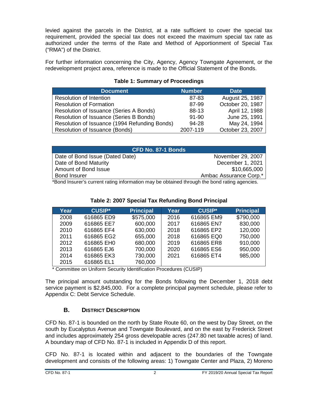levied against the parcels in the District, at a rate sufficient to cover the special tax requirement, provided the special tax does not exceed the maximum special tax rate as authorized under the terms of the Rate and Method of Apportionment of Special Tax ("RMA") of the District.

For further information concerning the City, Agency, Agency Towngate Agreement, or the redevelopment project area, reference is made to the Official Statement of the Bonds.

#### **Table 1: Summary of Proceedings**

<span id="page-6-1"></span>

| <b>Document</b>                               | <b>Number</b> | <b>Date</b>      |
|-----------------------------------------------|---------------|------------------|
| <b>Resolution of Intention</b>                | 87-83         | August 25, 1987  |
| <b>Resolution of Formation</b>                | 87-99         | October 20, 1987 |
| Resolution of Issuance (Series A Bonds)       | 88-13         | April 12, 1988   |
| Resolution of Issuance (Series B Bonds)       | $91 - 90$     | June 25, 1991    |
| Resolution of Issuance (1994 Refunding Bonds) | 94-28         | May 24, 1994     |
| Resolution of Issuance (Bonds)                | 2007-119      | October 23, 2007 |

| CFD No. 87-1 Bonds                                                                          |                        |  |  |  |
|---------------------------------------------------------------------------------------------|------------------------|--|--|--|
| Date of Bond Issue (Dated Date)                                                             | November 29, 2007      |  |  |  |
| Date of Bond Maturity                                                                       | December 1, 2021       |  |  |  |
| Amount of Bond Issue                                                                        | \$10,665,000           |  |  |  |
| <b>Bond Insurer</b>                                                                         | Ambac Assurance Corp.* |  |  |  |
| *Dend leguraria qurrent roting information mou he obtained through the bend roting opension |                        |  |  |  |

\*Bond Insurer's current rating information may be obtained through the bond rating agencies.

<span id="page-6-2"></span>

| Year | <b>CUSIP*</b> | <b>Principal</b> | Year | <b>CUSIP*</b> | <b>Principal</b> |
|------|---------------|------------------|------|---------------|------------------|
| 2008 | 616865 ED9    | \$575,000        | 2016 | 616865 EM9    | \$790,000        |
| 2009 | 616865 EE7    | 600,000          | 2017 | 616865 EN7    | 830,000          |
| 2010 | 616865 EF4    | 630,000          | 2018 | 616865 EP2    | 120,000          |
| 2011 | 616865 EG2    | 655,000          | 2018 | 616865 EQ0    | 750,000          |
| 2012 | 616865 EH0    | 680,000          | 2019 | 616865 ER8    | 910,000          |
| 2013 | 616865 EJ6    | 700,000          | 2020 | 616865 ES6    | 950,000          |
| 2014 | 616865 EK3    | 730,000          | 2021 | 616865 ET4    | 985,000          |
| 2015 | 616865 EL1    | 760,000          |      |               |                  |

#### **Table 2: 2007 Special Tax Refunding Bond Principal**

\* Committee on Uniform Security Identification Procedures (CUSIP)

The principal amount outstanding for the Bonds following the December 1, 2018 debt service payment is \$2,845,000. For a complete principal payment schedule, please refer to Appendix C: Debt Service Schedule.

#### **B. DISTRICT DESCRIPTION**

<span id="page-6-0"></span>CFD No. 87-1 is bounded on the north by State Route 60, on the west by Day Street, on the south by Eucalyptus Avenue and Towngate Boulevard, and on the east by Frederick Street and includes approximately 254 gross developable acres (247.80 net taxable acres) of land. A boundary map of CFD No. 87-1 is included in Appendix D of this report.

CFD No. 87-1 is located within and adjacent to the boundaries of the Towngate development and consists of the following areas: 1) Towngate Center and Plaza, 2) Moreno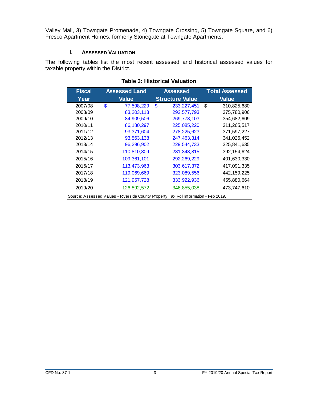Valley Mall, 3) Towngate Promenade, 4) Towngate Crossing, 5) Towngate Square, and 6) Fresco Apartment Homes, formerly Stonegate at Towngate Apartments.

#### **i. ASSESSED VALUATION**

<span id="page-7-1"></span><span id="page-7-0"></span>The following tables list the most recent assessed and historical assessed values for taxable property within the District.

| <b>Fiscal</b> | <b>Assessed Land</b> |    | <b>Assessed</b>        |    | <b>Total Assessed</b> |
|---------------|----------------------|----|------------------------|----|-----------------------|
| Year          | <b>Value</b>         |    | <b>Structure Value</b> |    | <b>Value</b>          |
| 2007/08       | \$<br>77,598,229     | \$ | 233, 227, 451          | \$ | 310,825,680           |
| 2008/09       | 83,203,113           |    | 292,577,793            |    | 375,780,906           |
| 2009/10       | 84,909,506           |    | 269,773,103            |    | 354,682,609           |
| 2010/11       | 86,180,297           |    | 225,085,220            |    | 311,265,517           |
| 2011/12       | 93,371,604           |    | 278,225,623            |    | 371,597,227           |
| 2012/13       | 93,563,138           |    | 247,463,314            |    | 341,026,452           |
| 2013/14       | 96,296,902           |    | 229,544,733            |    | 325,841,635           |
| 2014/15       | 110,810,809          |    | 281, 343, 815          |    | 392, 154, 624         |
| 2015/16       | 109,361,101          |    | 292,269,229            |    | 401,630,330           |
| 2016/17       | 113,473,963          |    | 303,617,372            |    | 417,091,335           |
| 2017/18       | 119,069,669          |    | 323,089,556            |    | 442, 159, 225         |
| 2018/19       | 121,957,728          |    | 333,922,936            |    | 455,880,664           |
| 2019/20       | 126,892,572          |    | 346,855,038            |    | 473,747,610           |

#### **Table 3: Historical Valuation**

Source: Assessed Values - Riverside County Property Tax Roll Information - Feb 2019.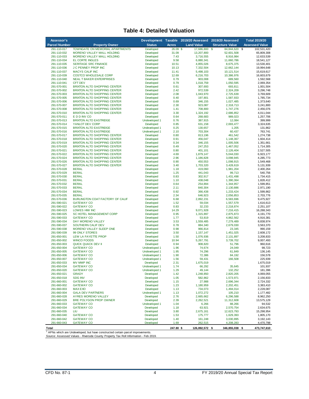#### **Table 4: Detailed Valuation**

<span id="page-8-0"></span>

| Assessor's                 |                                                                                            |                                |               | Development Taxable 2019/20 Assessed 2019/20 Assessed |                         | <b>Total 2019/20</b>     |
|----------------------------|--------------------------------------------------------------------------------------------|--------------------------------|---------------|-------------------------------------------------------|-------------------------|--------------------------|
| <b>Parcel Number</b>       | <b>Property Owner</b>                                                                      | <b>Status</b>                  | Acres         | <b>Land Value</b>                                     | <b>Structure Value</b>  | <b>Assessed Value</b>    |
| 291-110-017                | TOWNGATE ON MEMORIAL APARTMENTS                                                            | Developed                      | 26.09         | 17,686,800<br>-\$                                     | 84,844,620<br>\$        | \$<br>102,531,420        |
| 291-110-032<br>291-110-033 | MORENO VALLEY MALL HOLDING<br>MORENO VALLEY MALL HOLDING                                   | Developed<br>Developed         | 31.09<br>7.43 | 13,207,800<br>3,716,555                               | 52,601,508<br>8,916,984 | 65,809,308<br>12,633,539 |
| 291-110-034                | EL CORTE INGLES                                                                            | Developed                      | 9.58          | 6,880,341                                             | 11,660,786              | 18,541,127               |
| 291-110-035                | <b>SERITAGE SRC FINANCE</b>                                                                | Developed                      | 10.51         | 4,855,026                                             | 8,675,375               | 13,530,401               |
| 291-110-036                | <b>J C PENNEY PROP INC</b>                                                                 | Developed                      | 10.13         | 7,332,504                                             | 12,662,144              | 19,994,648               |
| 291-110-037                | <b>MACYS CALIF INC</b>                                                                     | Developed                      | 11.41         | 5,498,103                                             | 10,121,514              | 15,619,617               |
| 291-110-039<br>291-110-040 | COSTCO WHOLESALE CORP<br><b>NEAL T BAKER ENTERPRISES</b>                                   | Developed<br>Developed         | 12.69<br>0.79 | 6,216,703<br>903,008                                  | 10,386,976<br>689,560   | 16,603,679<br>1,592,568  |
| 291-110-041                | <b>CFT DEV</b>                                                                             | Developed                      | 0.79          | 1,018,759                                             | 1,050,595               | 2,069,354                |
| 291-570-001                | <b>BRIXTON ALTO SHOPPING CENTER</b>                                                        | Developed                      | 0.61          | 307,693                                               | 693,811                 | 1,001,504                |
| 291-570-002                | <b>BRIXTON ALTO SHOPPING CENTER</b>                                                        | Developed                      | 2.42          | 972,539                                               | 2,324,209               | 3,296,748                |
| 291-570-003                | <b>BRIXTON ALTO SHOPPING CENTER</b>                                                        | Developed                      | 2.08          | 1,043,970                                             | 2,725,639               | 3,769,609                |
| 291-570-005                | <b>BRIXTON ALTO SHOPPING CENTER</b>                                                        | Developed                      | 0.40<br>0.69  | 197,801                                               | 1,587,933               | 1,785,734                |
| 291-570-006<br>291-570-007 | <b>BRIXTON ALTO SHOPPING CENTER</b><br><b>BRIXTON ALTO SHOPPING CENTER</b>                 | Developed<br>Developed         | 2.30          | 346,155<br>923,087                                    | 1,027,485<br>2,318,713  | 1,373,640<br>3,241,800   |
| 291-570-008                | <b>BRIXTON ALTO SHOPPING CENTER</b>                                                        | Developed                      | 1.41          | 708,800                                               | 1,747,276               | 2,456,076                |
| 291-570-010                | <b>BRIXTON ALTO SHOPPING CENTER</b>                                                        | Developed                      | 3.30          | 1,324,192                                             | 2,686,852               | 4,011,044                |
| 291-570-011                | E D D INV CO                                                                               | Developed                      | 0.64          | 268,683                                               | 989,023                 | 1,257,706                |
| 291-570-013                | <b>BRIXTON ALTO EASTRIDGE</b>                                                              | Undeveloped 1                  | 0.76          | 387,915                                               | 12,084                  | 399,999                  |
| 291-570-014<br>291-570-015 | YANLOT DEV CORP<br><b>BRIXTON ALTO EASTRIDGE</b>                                           | Developed<br>Undeveloped 1     | 0.85<br>0.25  | 631,158<br>130,657                                    | 2,693,477<br>1,205      | 3,324,635<br>131,862     |
| 291-570-016                | <b>BRIXTON ALTO EASTRIDGE</b>                                                              | Undeveloped 1                  | 2.10          | 703,304                                               | 60,437                  | 763,741                  |
| 291-570-017                | <b>BRIXTON ALTO SHOPPING CENTER</b>                                                        | Developed                      | 0.80          | 813,196                                               | 461,542                 | 1,274,738                |
| 291-570-018                | <b>BRIXTON ALTO SHOPPING CENTER</b>                                                        | Developed                      | 0.91          | 456,047                                               | 1,148,367               | 1,604,414                |
| 291-570-019                | <b>BRIXTON ALTO SHOPPING CENTER</b>                                                        | Developed                      | 0.34          | 346,155                                               | 1,005,506               | 1,351,661                |
| 291-570-020                | <b>BRIXTON ALTO SHOPPING CENTER</b>                                                        | Developed                      | 0.49          | 247,253                                               | 1,467,052               | 1,714,305                |
| 291-570-021<br>291-570-022 | <b>BRIXTON ALTO SHOPPING CENTER</b><br><b>BRIXTON ALTO SHOPPING CENTER</b>                 | Developed<br>Developed         | 0.80<br>4.69  | 401,101<br>1,879,147                                  | 2,126,404<br>5,044,030  | 2,527,505<br>6,923,177   |
| 291-570-024                | <b>BRIXTON ALTO SHOPPING CENTER</b>                                                        | Developed                      | 2.96          | 1,186,828                                             | 3,098,945               | 4,285,773                |
| 291-570-026                | <b>BRIXTON ALTO SHOPPING CENTER</b>                                                        | Developed                      | 0.90          | 450,553                                               | 1,098,915               | 1,549,468                |
| 291-570-027                | <b>BRIXTON ALTO SHOPPING CENTER</b>                                                        | Developed                      | 3.40          | 1,703,320                                             | 3,428,619               | 5,131,939                |
| 291-570-028                | <b>BERAL</b>                                                                               | Developed                      | 1.18          | 419,060                                               | 1,981,204               | 2,400,264                |
| 291-570-029                | <b>BERAL</b><br><b>BERAL</b>                                                               | Developed                      | 1.25          | 441,043                                               | 99,713                  | 540,756                  |
| 291-570-030<br>291-570-031 | <b>BERAL</b>                                                                               | Developed<br>Developed         | 0.83<br>1.10  | 302,917<br>438,048                                    | 1,431,498<br>1,390,364  | 1,734,415<br>1,828,412   |
| 291-570-032                | <b>BERAL</b>                                                                               | Developed                      | 0.64          | 254,894                                               | 1,344,957               | 1,599,851                |
| 291-570-033                | <b>BERAL</b>                                                                               | Developed                      | 2.11          | 840,304                                               | 2,130,886               | 2,971,190                |
| 291-570-034                | <b>BERAL</b>                                                                               | Developed                      | 0.92          | 366,438                                               | 1,233,424               | 1,599,862                |
| 291-570-035                | <b>BERAL</b>                                                                               | Developed                      | 2.34          | 646,923                                               | 2,056,853               | 2,703,776                |
| 291-570-036<br>291-590-021 | BURLINGTON COAT FACTORY OF CALIF<br><b>GATEWAY CO</b>                                      | Developed<br>Developed         | 6.68<br>1.52  | 2,892,231<br>59,034                                   | 6,583,696<br>1,557,579  | 9,475,927<br>1,616,613   |
| 291-590-022                | <b>GATEWAY CO</b>                                                                          | Developed                      | 0.83          | 32,233                                                | 2,218,874               | 2,251,107                |
| 291-590-023                | LOWES HIW INC                                                                              | Developed                      | 14.29         | 9,071,928                                             | 7,216,415               | 16,288,343               |
| 291-590-025                | SC HOTEL MANAGEMENT CORP                                                                   | Developed                      | 0.95          | 1,315,897                                             | 2,875,873               | 4,191,770                |
| 291-590-033                | <b>GATEWAY CO</b>                                                                          | Developed                      | 1.77          | 53,819                                                | 4,862,562               | 4,916,381                |
| 291-590-034                | DAY MORENO VALLEY                                                                          | Developed                      | 3.53          | 1,559,485                                             | 7,279,489               | 8,838,974                |
| 291-590-037<br>291-590-038 | SOUTHERN CALIF DEV<br>MORENO VALLEY SLEEP ONE                                              | Developed<br>Developed         | 0.78<br>0.98  | 884,340<br>966,814                                    | 2,679,030<br>23,345     | 3,563,370<br>990,159     |
| 291-590-039                | 99 ONLY STORES                                                                             | Developed                      | 3.50          | 1, 157, 147                                           | 1,451,025               | 2,608,172                |
| 291-650-001                | LEW LA FAYETTE PROP                                                                        | Developed                      | 1.50          | 1,076,936                                             | 2,131,897               | 3,208,833                |
| 291-650-002                | <b>WINCO FOODS</b>                                                                         | Developed                      | 10.94         | 5,267,791                                             | 3,739,702               | 9,007,493                |
| 291-650-003                | <b>QUICK QUACK DEV II</b>                                                                  | Developed                      | 0.94          | 908,820                                               | 51,796                  | 960,616                  |
| 291-650-004                | <b>GATEWAY CO</b>                                                                          | Undeveloped 1                  | 1.96          | 74,674                                                | 24,049                  | 98,723                   |
| 291-650-005<br>291-650-006 | <b>GATEWAY CO</b><br><b>GATEWAY CO</b>                                                     | Undeveloped 1<br>Undeveloped 1 | 1.95<br>1.90  | 74,296<br>72,386                                      | 61,849<br>84,192        | 136,145<br>156,578       |
| 291-650-007                | <b>GATEWAY CO</b>                                                                          | Undeveloped 1                  | 1.56          | 59,431                                                | 166,508                 | 225,939                  |
| 291-650-033                | MV MMP INC                                                                                 | Developed                      | 2.31          | 1,675,019                                             |                         | 1,675,019                |
| 291-650-034                | <b>GATEWAY CO</b>                                                                          | Undeveloped 1                  | 1.74          | 66,292                                                | 35,645                  | 101,937                  |
| 291-650-020                | <b>GATEWAY CO</b>                                                                          | Undeveloped 1                  | 1.29          | 49,144                                                | 132,252                 | 181,396                  |
| 291-650-021<br>291-650-018 | <b>GRADY</b><br><b>SDG INV</b>                                                             | Developed<br>Developed         | 1.42          | 1,248,850                                             | 2,820,205               | 4,069,055                |
| 291-660-001                | <b>GATEWAY CO</b>                                                                          | Developed                      | 1.05<br>1.15  | 582,862<br>27,988                                     | 1,573,971<br>2,696,344  | 2,156,833<br>2,724,332   |
| 291-660-002                | <b>GATEWAY CO</b>                                                                          | Developed                      | 1.23          | 1,180,959                                             | 2,202,451               | 3,383,410                |
| 291-660-003                | <b>MAXEXO</b>                                                                              | Developed                      | 1.13          | 734,073                                               | 1,494,014               | 2,228,087                |
| 291-660-004                | <b>GALA DEV PARTNERS</b>                                                                   | Undeveloped 1                  | 1.13          | 1,072,272                                             | 105,210                 | 1,177,482                |
| 291-660-028                | AYRES MORENO VALLEY                                                                        | Developed                      | 2.76          | 2,665,662                                             | 6,296,588               | 8,962,250                |
| 291-660-029                | BRE POLYGON PROP OWNER                                                                     | Developed                      | 2.39          | 2,262,521                                             | 11,312,608              | 13,575,129               |
| 291-660-033<br>291-660-034 | <b>GATEWAY CO</b><br><b>GATEWAY CO</b>                                                     | Undeveloped 1<br>Developed     | 1.04<br>1.18  | 6,266<br>63,921                                       | 88,266<br>2,570,754     | 94,532<br>2,634,675      |
| 291-660-035                | LIU                                                                                        | Developed                      | 3.80          | 2,675,161                                             | 12,623,793              | 15,298,954               |
| 291-660-040                | <b>GATEWAY CO</b>                                                                          | Developed                      | 1.53          | 175,777                                               | 1,629,393               | 1,805,170                |
| 291-660-042                | <b>GATEWAY CO</b>                                                                          | Developed                      | 1.40          | 161,248                                               | 3,030,895               | 3, 192, 143              |
| 291-660-043                | <b>GATEWAY CO</b>                                                                          | Developed                      | 1.69          | 262,515                                               | 4,208,283               | 4,470,798                |
| Total                      |                                                                                            |                                | 247.80 \$     | 126,892,572 \$                                        | 346,855,038 \$          | 473,747,610              |
|                            | <sup>1</sup> APNs which are Undeveloped, but have constructed certain parcel improvements. |                                |               |                                                       |                         |                          |

1 APNs which are Undeveloped, but have constructed certain parcel improvements. Source: Assessed Values - Riverside County Property Tax Roll Information - Feb 2019.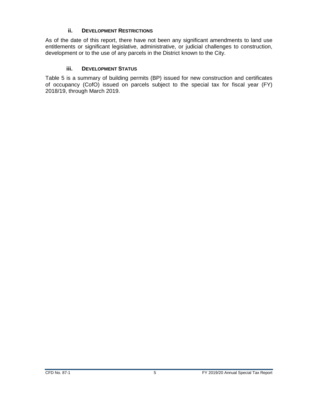#### **ii. DEVELOPMENT RESTRICTIONS**

<span id="page-9-0"></span>As of the date of this report, there have not been any significant amendments to land use entitlements or significant legislative, administrative, or judicial challenges to construction, development or to the use of any parcels in the District known to the City.

#### **iii. DEVELOPMENT STATUS**

<span id="page-9-1"></span>Table 5 is a summary of building permits (BP) issued for new construction and certificates of occupancy (CofO) issued on parcels subject to the special tax for fiscal year (FY) 2018/19, through March 2019.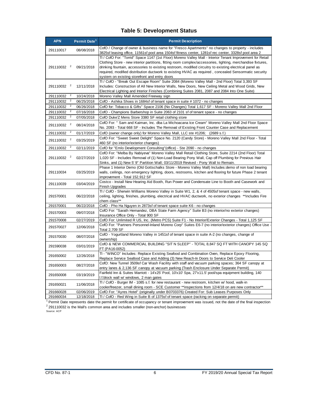#### **Table 5: Development Status**

<span id="page-10-0"></span>

| <b>APN</b>             | Permit Date <sup>1</sup>              | <b>Permit Description</b>                                                                                                                                                                                                                                                                                                                                                                                                                                                                      |
|------------------------|---------------------------------------|------------------------------------------------------------------------------------------------------------------------------------------------------------------------------------------------------------------------------------------------------------------------------------------------------------------------------------------------------------------------------------------------------------------------------------------------------------------------------------------------|
| 291110017              | 08/08/2018                            | CofO / Change of owner & business name for "Fresco Apartments" no changes to property - includes<br>3825sf leasing office, 11561sf pool area 1504sf fitness center, 1281sf rec center, 3328sf pool area 2                                                                                                                                                                                                                                                                                      |
| 291110032 <sup>2</sup> | 09/21/2018                            | TI / CofO For: "Torrid" Space 1147 (1st Floor) Moreno Valley Mall - Interior Tenant Improvement for Retail<br>Clothing Store - new interior partitions, fitting room complex/accessories, lighting, merchandise fixtures,<br>drinking fountain, accessories to existing restroom, modified circuitry to existing electrical panel as<br>required, modified distribution ductwork to existing HVAC as required, concealed Sensormatic security<br>system on existing storefront and entry doors |
| 291110032 <sup>2</sup> | 12/11/2018                            | TI / CofO - "Break Out Escape Room" Suite 2084 (Moreno Valley Mall - 2nd Floor) Total 3,393 SF<br>Includes: Construction of All New Interior Walls, New Doors, New Ceiling Metal and Wood Grids, New<br>Electrical Lighting and Interior Finishes (Combining Suites 2081, 2087 and 2084 Into One Suite)                                                                                                                                                                                        |
| 291110032              | $\overline{2}$<br>10/24/2018          | Moreno Valley Mall Amended Freeway sign                                                                                                                                                                                                                                                                                                                                                                                                                                                        |
| 291110032              | $\overline{a}$<br>06/25/2018          | CofO - Ashika Shoes in 1684sf of tenant space in suite # 1072 - no changes                                                                                                                                                                                                                                                                                                                                                                                                                     |
| 291110032              | $\overline{a}$<br>06/26/2018          | CofO for: Tobacco & Gifts" Space 2106 (No Changes) Total 1,617 SF - Moreno Valley Mall 2nd Floor                                                                                                                                                                                                                                                                                                                                                                                               |
| 291110032              | $\overline{a}$<br>07/16/2018          | CofO - Champions Barbershop in Suite 2063 of 2101 sf of tenant space - no changes                                                                                                                                                                                                                                                                                                                                                                                                              |
| 291110032              | $\overline{2}$<br>07/05/2018          | CofO Duke'Z Mens Store 3380 SF retail clothing store                                                                                                                                                                                                                                                                                                                                                                                                                                           |
| 291110032 <sup>2</sup> | 08/24/2018                            | CofO For: " Sam and Kaiman, Inc. dba La Michoacana Ice Cream" Moreno Valley Mall 2nd Floor Space<br>No. 2093 - Total 668 SF - Includes The Removal of Existing Front Counter Case and Replacement                                                                                                                                                                                                                                                                                              |
| 291110032              | $\overline{\mathbf{c}}$<br>01/17/2019 | CofO (owner change only) for Moreno Valley Mall, LLC ste #1206; (2689 s.f.)                                                                                                                                                                                                                                                                                                                                                                                                                    |
| 291110032 <sup>2</sup> | 03/25/2019                            | CofO For: "Sweet Sweet Delight" Space No. 2120 (Candy Store) - Moreno Valley Mall 2nd Floor - Total<br>460 SF (no interior/exterior changes)                                                                                                                                                                                                                                                                                                                                                   |
| 291110032              | $\overline{a}$<br>02/11/2019          | CofO for "Emlo Development Consulting" (office) - Ste 2090 - no changes                                                                                                                                                                                                                                                                                                                                                                                                                        |
| 291110032 <sup>2</sup> | 02/27/2019                            | CofO For: "Melba By Nabiyeva" Moreno Valley Mall Retail Clothing Store, Suite 2214 (2nd Floor) Total<br>1,020 SF - Includes Removal of (1) Non-Load Bearing Pony Wall, Cap off Plumbing for Previous Hair<br>Sinks, and (1) New 5' 9" Partition Wall; 03/11/2019 Revised - Pony Wall to Remain.                                                                                                                                                                                                |
| 291110034              | 03/25/2019                            | Phase 1 Interior Demo (Old Gottschalks Store - Moreno Valley Mall) Includes: demo of non load bearing<br>walls, ceilings, non emergency lighting, doors, restrooms, kitchen and flooring for future Phase 2 tenant<br>improvement - Total 152,912 SF                                                                                                                                                                                                                                           |
| 291110039              | 03/04/2019                            | Costco - Install New Hearing Aid Booth, Run Power and Condensate Line to Booth and Casework and<br><b>Finish Upgrades</b>                                                                                                                                                                                                                                                                                                                                                                      |
| 291570001              | 06/22/2018                            | TI / CofO - Sherwin Williams Moreno Valley in Suite W1, 2, & 4 of 4505sf tenant space - new walls,<br>ceiling, lighting, finishes, plumbing, electrical and HVAC ductwork, no exterior changes **includes Fire<br>chem class**                                                                                                                                                                                                                                                                 |
| 291570001              | 06/22/2018                            | CofO - Pho Ha Nguyen in 2873sf of tenant space suite K6 - no changes                                                                                                                                                                                                                                                                                                                                                                                                                           |
| 291570003              | 09/07/2018                            | CofO For: "Sarath Hernandez, DBA State Farm Agency" Suite B3 (no interior/no exterior changes)<br>Insurance Office Only - Total 900 SF                                                                                                                                                                                                                                                                                                                                                         |
| 291570008              | 02/27/2019                            | CofO For: Unlimited R US, Inc. (Metro PCS) Suite F1 - No Interior/Exterior Changes - Total 1,125 SF                                                                                                                                                                                                                                                                                                                                                                                            |
| 291570027              | 12/06/2018                            | CofO For: "Partners Personnel-Inland Moreno Corp" Suites E6-7 (no interior/exterior changes) Office Use -<br><b>Total 2,709 SF</b>                                                                                                                                                                                                                                                                                                                                                             |
| 291570030              | 08/07/2018                            | CofO - Yogurtland Moreno Valley in 1451sf of tenant space in suite A-2 (no changes, change of<br>ownership)                                                                                                                                                                                                                                                                                                                                                                                    |
| 291590038              | 03/01/2019                            | CofO & NEW COMMERCIAL BUILDING "SIT N SLEEP" - TOTAL 8,847 SQ FT WITH CANOPY 145 SQ<br>FT (PA16-0052)                                                                                                                                                                                                                                                                                                                                                                                          |
| 291650002              | 12/26/2018                            | TI - "WINCO" Includes: Replace Existing Seafood and Combination Oven, Replace Epoxy Flooring,<br>Replace Service Seafood Case and Adding (3) New Reach-In Doors to Service Deli Cooler                                                                                                                                                                                                                                                                                                         |
| 291650003              | 08/27/2018                            | CofO: New Tunnel 3509sf Car Wash Facility with staff and vacuum parking spaces; 364 SF canopy at<br>entry lanes & 2,136 SF canopy at vacuum parking (Trash Enclosure Under Separate Permit)                                                                                                                                                                                                                                                                                                    |
| 291650008              | 03/19/2019                            | Fairfield Inn & Suites Marriott - 14'x25' Pool, 10'x10' Spa, 27'x11.5' pool/spa equipment building, 140<br>I.f.block wall w/ windows, 2 man gates                                                                                                                                                                                                                                                                                                                                              |
| 291650021              | 11/06/2018                            | TI / CofO - Burger IM - 1085 s.f. for new restaurant - new restroom, kitchen w/ hood, walk-in<br>cooler/freezer, small dining room - SCE Customer **inspections from 12/4/18 on are new contractor**                                                                                                                                                                                                                                                                                           |
| 291660028              | 02/06/2019                            | CofO For: "Ayres Hotel" (originally under B0703376) Created For: Sub Leases Purposes Only                                                                                                                                                                                                                                                                                                                                                                                                      |
| 291660034              | 12/18/2018                            | TI / CofO - Red Wing in Suite B of 1375sf of tenant space (racking on separate permit)                                                                                                                                                                                                                                                                                                                                                                                                         |

 $^2$  291110032 is the Mall's common area and includes smaller (non-anchor) businesses<sup>.</sup><br><sub>Source: ACP</sub> <sup>1</sup> Permit Date represents date the permit for certificate of occupancy or tenant improvement was issued, not the date of the final inspection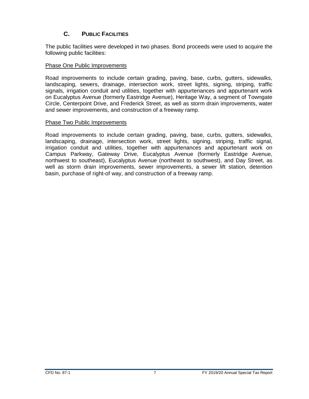## **C. PUBLIC FACILITIES**

<span id="page-11-0"></span>The public facilities were developed in two phases. Bond proceeds were used to acquire the following public facilities:

#### Phase One Public Improvements

Road improvements to include certain grading, paving, base, curbs, gutters, sidewalks, landscaping, sewers, drainage, intersection work, street lights, signing, striping, traffic signals, irrigation conduit and utilities, together with appurtenances and appurtenant work on Eucalyptus Avenue (formerly Eastridge Avenue), Heritage Way, a segment of Towngate Circle, Centerpoint Drive, and Frederick Street, as well as storm drain improvements, water and sewer improvements, and construction of a freeway ramp.

#### Phase Two Public Improvements

Road improvements to include certain grading, paving, base, curbs, gutters, sidewalks, landscaping, drainage, intersection work, street lights, signing, striping, traffic signal, irrigation conduit and utilities, together with appurtenances and appurtenant work on Campus Parkway, Gateway Drive, Eucalyptus Avenue (formerly Eastridge Avenue, northwest to southeast), Eucalyptus Avenue (northeast to southwest), and Day Street, as well as storm drain improvements, sewer improvements, a sewer lift station, detention basin, purchase of right-of way, and construction of a freeway ramp.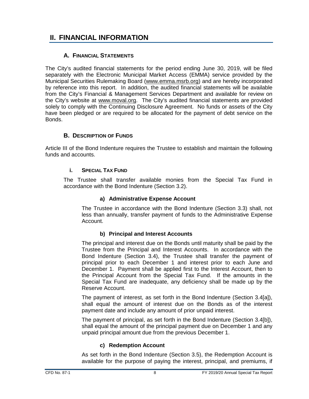# <span id="page-12-0"></span>**II. FINANCIAL INFORMATION**

#### **A. FINANCIAL STATEMENTS**

<span id="page-12-1"></span>The City's audited financial statements for the period ending June 30, 2019, will be filed separately with the Electronic Municipal Market Access (EMMA) service provided by the Municipal Securities Rulemaking Board [\(www.emma.msrb.org\)](http://www.emma.msrb.org/) and are hereby incorporated by reference into this report. In addition, the audited financial statements will be available from the City's Financial & Management Services Department and available for review on the City's website at [www.moval.org.](http://www.moval.org/) The City's audited financial statements are provided solely to comply with the Continuing Disclosure Agreement. No funds or assets of the City have been pledged or are required to be allocated for the payment of debt service on the Bonds.

#### **B. DESCRIPTION OF FUNDS**

<span id="page-12-3"></span><span id="page-12-2"></span>Article III of the Bond Indenture requires the Trustee to establish and maintain the following funds and accounts.

#### **i. SPECIAL TAX FUND**

The Trustee shall transfer available monies from the Special Tax Fund in accordance with the Bond Indenture (Section 3.2).

#### **a) Administrative Expense Account**

The Trustee in accordance with the Bond Indenture (Section 3.3) shall, not less than annually, transfer payment of funds to the Administrative Expense Account.

#### **b) Principal and Interest Accounts**

The principal and interest due on the Bonds until maturity shall be paid by the Trustee from the Principal and Interest Accounts. In accordance with the Bond Indenture (Section 3.4), the Trustee shall transfer the payment of principal prior to each December 1 and interest prior to each June and December 1. Payment shall be applied first to the Interest Account, then to the Principal Account from the Special Tax Fund. If the amounts in the Special Tax Fund are inadequate, any deficiency shall be made up by the Reserve Account.

The payment of interest, as set forth in the Bond Indenture (Section 3.4[a]), shall equal the amount of interest due on the Bonds as of the interest payment date and include any amount of prior unpaid interest.

The payment of principal, as set forth in the Bond Indenture (Section 3.4[b]), shall equal the amount of the principal payment due on December 1 and any unpaid principal amount due from the previous December 1.

#### **c) Redemption Account**

As set forth in the Bond Indenture (Section 3.5), the Redemption Account is available for the purpose of paying the interest, principal, and premiums, if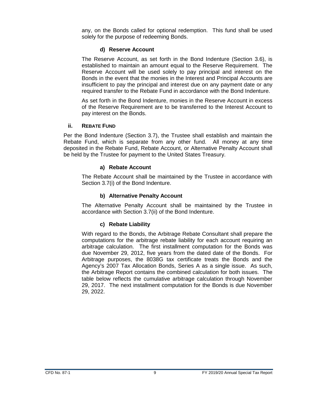any, on the Bonds called for optional redemption. This fund shall be used solely for the purpose of redeeming Bonds.

#### **d) Reserve Account**

The Reserve Account, as set forth in the Bond Indenture (Section 3.6), is established to maintain an amount equal to the Reserve Requirement. The Reserve Account will be used solely to pay principal and interest on the Bonds in the event that the monies in the Interest and Principal Accounts are insufficient to pay the principal and interest due on any payment date or any required transfer to the Rebate Fund in accordance with the Bond Indenture.

As set forth in the Bond Indenture, monies in the Reserve Account in excess of the Reserve Requirement are to be transferred to the Interest Account to pay interest on the Bonds.

#### <span id="page-13-0"></span>**ii. REBATE FUND**

Per the Bond Indenture (Section 3.7), the Trustee shall establish and maintain the Rebate Fund, which is separate from any other fund. All money at any time deposited in the Rebate Fund, Rebate Account, or Alternative Penalty Account shall be held by the Trustee for payment to the United States Treasury.

#### **a) Rebate Account**

The Rebate Account shall be maintained by the Trustee in accordance with Section 3.7(i) of the Bond Indenture.

#### **b) Alternative Penalty Account**

The Alternative Penalty Account shall be maintained by the Trustee in accordance with Section 3.7(ii) of the Bond Indenture.

#### **c) Rebate Liability**

With regard to the Bonds, the Arbitrage Rebate Consultant shall prepare the computations for the arbitrage rebate liability for each account requiring an arbitrage calculation. The first installment computation for the Bonds was due November 29, 2012, five years from the dated date of the Bonds. For Arbitrage purposes, the 8038G tax certificate treats the Bonds and the Agency's 2007 Tax Allocation Bonds, Series A as a single issue. As such, the Arbitrage Report contains the combined calculation for both issues. The table below reflects the cumulative arbitrage calculation through November 29, 2017. The next installment computation for the Bonds is due November 29, 2022.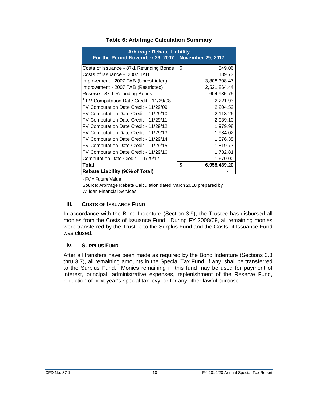<span id="page-14-2"></span>

| <b>Arbitrage Rebate Liability</b><br>For the Period November 29, 2007 - November 29, 2017 |                    |
|-------------------------------------------------------------------------------------------|--------------------|
| Costs of Issuance - 87-1 Refunding Bonds                                                  | \$<br>549.06       |
| Costs of Issuance - 2007 TAB                                                              | 189.73             |
| Improvement - 2007 TAB (Unrestricted)                                                     | 3,808,308.47       |
| Improvement - 2007 TAB (Restricted)                                                       | 2,521,864.44       |
| Reserve - 87-1 Refunding Bonds                                                            | 604,935.76         |
| <sup>1</sup> FV Computation Date Credit - 11/29/08                                        | 2,221.93           |
| FV Computation Date Credit - 11/29/09                                                     | 2,204.52           |
| FV Computation Date Credit - 11/29/10                                                     | 2,113.26           |
| FV Computation Date Credit - 11/29/11                                                     | 2,039.10           |
| FV Computation Date Credit - 11/29/12                                                     | 1,979.98           |
| FV Computation Date Credit - 11/29/13                                                     | 1,934.02           |
| FV Computation Date Credit - 11/29/14                                                     | 1,876.35           |
| FV Computation Date Credit - 11/29/15                                                     | 1,819.77           |
| FV Computation Date Credit - 11/29/16                                                     | 1,732.81           |
| Computation Date Credit - 11/29/17                                                        | 1,670.00           |
| Total                                                                                     | \$<br>6,955,439.20 |
| <b>Rebate Liability (90% of Total)</b>                                                    |                    |

#### **Table 6: Arbitrage Calculation Summary**

 $1$  FV = Future Value

Source: Arbitrage Rebate Calculation dated March 2018 prepared by Willdan Financial Services

#### <span id="page-14-0"></span>**iii. COSTS OF ISSUANCE FUND**

In accordance with the Bond Indenture (Section 3.9), the Trustee has disbursed all monies from the Costs of Issuance Fund. During FY 2008/09, all remaining monies were transferred by the Trustee to the Surplus Fund and the Costs of Issuance Fund was closed.

#### <span id="page-14-1"></span>**iv. SURPLUS FUND**

After all transfers have been made as required by the Bond Indenture (Sections 3.3 thru 3.7), all remaining amounts in the Special Tax Fund, if any, shall be transferred to the Surplus Fund. Monies remaining in this fund may be used for payment of interest, principal, administrative expenses, replenishment of the Reserve Fund, reduction of next year's special tax levy, or for any other lawful purpose.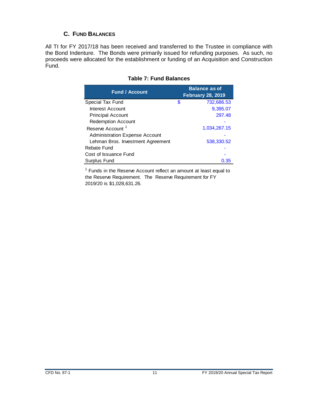## **C. FUND BALANCES**

<span id="page-15-1"></span><span id="page-15-0"></span>All TI for FY 2017/18 has been received and transferred to the Trustee in compliance with the Bond Indenture. The Bonds were primarily issued for refunding purposes. As such, no proceeds were allocated for the establishment or funding of an Acquisition and Construction Fund.

| <b>Fund / Account</b>                 | <b>Balance as of</b><br>February 28, 2019 |
|---------------------------------------|-------------------------------------------|
| Special Tax Fund                      | \$<br>732,686.53                          |
| Interest Account                      | 9,395.07                                  |
| <b>Principal Account</b>              | 297.48                                    |
| <b>Redemption Account</b>             |                                           |
| Reserve Account <sup>1</sup>          | 1,034,267.15                              |
| <b>Administration Expense Account</b> |                                           |
| Lehman Bros. Investment Agreement     | 538.330.52                                |
| Rebate Fund                           |                                           |
| Cost of Issuance Fund                 |                                           |
| Surplus Fund                          | 0.35                                      |

#### **Table 7: Fund Balances**

<sup>1</sup> Funds in the Reserve Account reflect an amount at least equal to the Reserve Requirement. The Reserve Requirement for FY 2019/20 is \$1,028,631.26.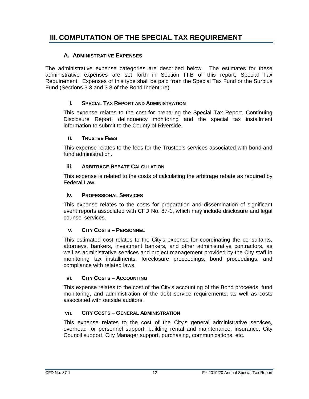# <span id="page-16-0"></span>**III. COMPUTATION OF THE SPECIAL TAX REQUIREMENT**

#### **A. ADMINISTRATIVE EXPENSES**

<span id="page-16-1"></span>The administrative expense categories are described below. The estimates for these administrative expenses are set forth in Section III.B of this report, Special Tax Requirement. Expenses of this type shall be paid from the Special Tax Fund or the Surplus Fund (Sections 3.3 and 3.8 of the Bond Indenture).

#### **i. SPECIAL TAX REPORT AND ADMINISTRATION**

<span id="page-16-2"></span>This expense relates to the cost for preparing the Special Tax Report, Continuing Disclosure Report, delinquency monitoring and the special tax installment information to submit to the County of Riverside.

#### <span id="page-16-3"></span>**ii. TRUSTEE FEES**

This expense relates to the fees for the Trustee's services associated with bond and fund administration.

#### <span id="page-16-4"></span>**iii. ARBITRAGE REBATE CALCULATION**

This expense is related to the costs of calculating the arbitrage rebate as required by Federal Law.

#### <span id="page-16-5"></span>**iv. PROFESSIONAL SERVICES**

This expense relates to the costs for preparation and dissemination of significant event reports associated with CFD No. 87-1, which may include disclosure and legal counsel services.

#### **v. CITY COSTS – PERSONNEL**

<span id="page-16-6"></span>This estimated cost relates to the City's expense for coordinating the consultants, attorneys, bankers, investment bankers, and other administrative contractors, as well as administrative services and project management provided by the City staff in monitoring tax installments, foreclosure proceedings, bond proceedings, and compliance with related laws.

#### <span id="page-16-7"></span>**vi. CITY COSTS – ACCOUNTING**

This expense relates to the cost of the City's accounting of the Bond proceeds, fund monitoring, and administration of the debt service requirements, as well as costs associated with outside auditors.

#### <span id="page-16-8"></span>**vii. CITY COSTS – GENERAL ADMINISTRATION**

This expense relates to the cost of the City's general administrative services, overhead for personnel support, building rental and maintenance, insurance, City Council support, City Manager support, purchasing, communications, etc.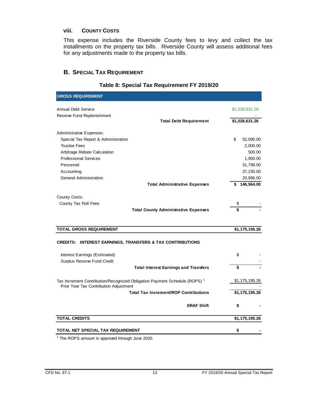#### <span id="page-17-0"></span>**viii. COUNTY COSTS**

This expense includes the Riverside County fees to levy and collect the tax installments on the property tax bills. Riverside County will assess additional fees for any adjustments made to the property tax bills.

#### <span id="page-17-1"></span>**B. SPECIAL TAX REQUIREMENT**

<span id="page-17-2"></span>

| <b>GROSS REQUIREMENT</b>                                                                                                        |                 |
|---------------------------------------------------------------------------------------------------------------------------------|-----------------|
| <b>Annual Debt Service</b>                                                                                                      | \$1,028,631.26  |
| Reserve Fund Replenishment<br><b>Total Debt Requirement</b>                                                                     | \$1,028,631.26  |
| Administrative Expenses:                                                                                                        |                 |
| Special Tax Report & Administration                                                                                             | \$<br>52,090.00 |
| <b>Trustee Fees</b>                                                                                                             | 2,000.00        |
| Arbitrage Rebate Calculation                                                                                                    | 500.00          |
| <b>Professional Services</b>                                                                                                    | 1,950.00        |
| Personnel                                                                                                                       | 31,798.00       |
| Accounting                                                                                                                      | 37,230.00       |
| <b>General Administration</b>                                                                                                   | 20,996.00       |
| <b>Total Administrative Expenses</b>                                                                                            | \$146,564.00    |
| County Costs:                                                                                                                   |                 |
| County Tax Roll Fees                                                                                                            | \$              |
| <b>Total County Administrative Expenses</b>                                                                                     | \$              |
| <b>TOTAL GROSS REQUIREMENT</b>                                                                                                  | \$1,175,195.26  |
| <b>CREDITS: INTEREST EARNINGS, TRANSFERS &amp; TAX CONTRIBUTIONS</b>                                                            |                 |
|                                                                                                                                 |                 |
| Interest Earnings (Estimated)                                                                                                   | \$              |
| Surplus Reserve Fund Credit                                                                                                     |                 |
| <b>Total Interest Earnings and Transfers</b>                                                                                    | \$              |
| Tax Increment Contribution/Recognized Obligation Payment Schedule (ROPS) <sup>1</sup><br>Prior Year Tax Contribution Adjustment | \$1,175,195.26  |
| <b>Total Tax Increment/ROP Contributions</b>                                                                                    | \$1,175,195.26  |
| <b>ERAF Shift</b>                                                                                                               | \$              |
| <b>TOTAL CREDITS</b>                                                                                                            | \$1,175,195.26  |
| TOTAL NET SPECIAL TAX REQUIREMENT                                                                                               | \$              |

#### **Table 8: Special Tax Requirement FY 2019/20**

<sup>1</sup> The ROPS amount is approved through June 2020.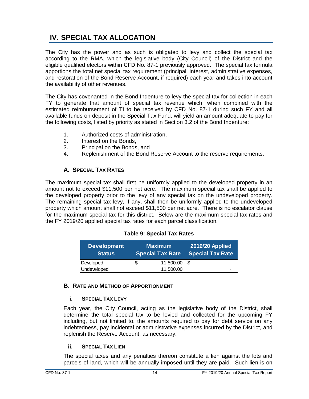# <span id="page-18-0"></span>**IV. SPECIAL TAX ALLOCATION**

The City has the power and as such is obligated to levy and collect the special tax according to the RMA, which the legislative body (City Council) of the District and the eligible qualified electors within CFD No. 87-1 previously approved. The special tax formula apportions the total net special tax requirement (principal, interest, administrative expenses, and restoration of the Bond Reserve Account, if required) each year and takes into account the availability of other revenues.

The City has covenanted in the Bond Indenture to levy the special tax for collection in each FY to generate that amount of special tax revenue which, when combined with the estimated reimbursement of TI to be received by CFD No. 87-1 during such FY and all available funds on deposit in the Special Tax Fund, will yield an amount adequate to pay for the following costs, listed by priority as stated in Section 3.2 of the Bond Indenture:

- 1. Authorized costs of administration,
- 2. Interest on the Bonds,
- 3. Principal on the Bonds, and
- 4. Replenishment of the Bond Reserve Account to the reserve requirements.

## **A. SPECIAL TAX RATES**

<span id="page-18-1"></span>The maximum special tax shall first be uniformly applied to the developed property in an amount not to exceed \$11,500 per net acre. The maximum special tax shall be applied to the developed property prior to the levy of any special tax on the undeveloped property. The remaining special tax levy, if any, shall then be uniformly applied to the undeveloped property which amount shall not exceed \$11,500 per net acre. There is no escalator clause for the maximum special tax for this district. Below are the maximum special tax rates and the FY 2019/20 applied special tax rates for each parcel classification.

#### **Table 9: Special Tax Rates**

<span id="page-18-5"></span>

| <b>Development</b><br><b>Status</b> |   | <b>Maximum</b><br><b>Special Tax Rate</b> | <b>2019/20 Applied</b><br>Special Tax Rate |   |  |  |
|-------------------------------------|---|-------------------------------------------|--------------------------------------------|---|--|--|
| Developed                           | S | 11,500.00                                 | - \$                                       |   |  |  |
| Undeveloped                         |   | 11.500.00                                 |                                            | - |  |  |

#### <span id="page-18-3"></span><span id="page-18-2"></span>**B. RATE AND METHOD OF APPORTIONMENT**

#### **i. SPECIAL TAX LEVY**

Each year, the City Council, acting as the legislative body of the District, shall determine the total special tax to be levied and collected for the upcoming FY including, but not limited to, the amounts required to pay for debt service on any indebtedness, pay incidental or administrative expenses incurred by the District, and replenish the Reserve Account, as necessary.

#### <span id="page-18-4"></span>**ii. SPECIAL TAX LIEN**

The special taxes and any penalties thereon constitute a lien against the lots and parcels of land, which will be annually imposed until they are paid. Such lien is on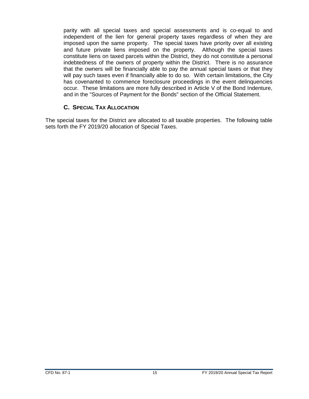parity with all special taxes and special assessments and is co-equal to and independent of the lien for general property taxes regardless of when they are imposed upon the same property. The special taxes have priority over all existing and future private liens imposed on the property. Although the special taxes constitute liens on taxed parcels within the District, they do not constitute a personal indebtedness of the owners of property within the District. There is no assurance that the owners will be financially able to pay the annual special taxes or that they will pay such taxes even if financially able to do so. With certain limitations, the City has covenanted to commence foreclosure proceedings in the event delinquencies occur. These limitations are more fully described in Article V of the Bond Indenture, and in the "Sources of Payment for the Bonds" section of the Official Statement.

#### **C. SPECIAL TAX ALLOCATION**

<span id="page-19-0"></span>The special taxes for the District are allocated to all taxable properties. The following table sets forth the FY 2019/20 allocation of Special Taxes.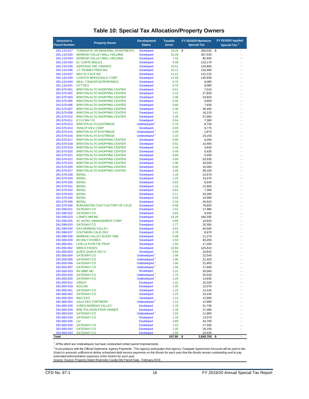<span id="page-20-0"></span>

| Assessor's<br><b>Parcel Number</b> | <b>Property Owner</b>                                                      | <b>Development</b><br><b>Status</b>            | <b>Taxable</b><br><b>Acres</b> | <b>FY 2019/20 Maximum</b><br><b>Special Tax</b> | FY 2019/20 Applied<br>Special Tax <sup>2</sup> |
|------------------------------------|----------------------------------------------------------------------------|------------------------------------------------|--------------------------------|-------------------------------------------------|------------------------------------------------|
| 291-110-017                        | <b>TOWNGATE ON MEMORIAL APARTMENTS</b>                                     | <b>Developed</b>                               | 26.09                          | \$<br>300,035                                   | \$                                             |
| 291-110-032                        | MORENO VALLEY MALL HOLDING                                                 | <b>Developed</b>                               | 31.09                          | 357,535                                         |                                                |
| 291-110-033                        | MORENO VALLEY MALL HOLDING                                                 | <b>Developed</b>                               | 7.43                           | 85,445                                          |                                                |
| 291-110-034                        | <b>EL CORTE INGLES</b>                                                     | <b>Developed</b>                               | 9.58                           | 110,170                                         |                                                |
| 291-110-035<br>291-110-036         | <b>SERITAGE SRC FINANCE</b><br>J C PENNEY PROP INC                         | <b>Developed</b><br><b>Developed</b>           | 10.51<br>10.13                 | 120,865<br>116,495                              |                                                |
| 291-110-037                        | <b>MACYS CALIF INC</b>                                                     | <b>Developed</b>                               | 11.41                          | 131,215                                         |                                                |
| 291-110-039                        | <b>COSTCO WHOLESALE CORP</b>                                               | <b>Developed</b>                               | 12.69                          | 145,935                                         |                                                |
| 291-110-040                        | <b>NEAL T BAKER ENTERPRISES</b>                                            | <b>Developed</b>                               | 0.79                           | 9,085                                           |                                                |
| 291-110-041                        | <b>CFT DEV</b>                                                             | <b>Developed</b>                               | 0.79                           | 9,085                                           |                                                |
| 291-570-001                        | <b>BRIXTON ALTO SHOPPING CENTER</b>                                        | <b>Developed</b>                               | 0.61                           | 7,015                                           |                                                |
| 291-570-002<br>291-570-003         | <b>BRIXTON ALTO SHOPPING CENTER</b><br><b>BRIXTON ALTO SHOPPING CENTER</b> | <b>Developed</b><br><b>Developed</b>           | 2.42<br>2.08                   | 27,830<br>23,920                                |                                                |
| 291-570-005                        | <b>BRIXTON ALTO SHOPPING CENTER</b>                                        | <b>Developed</b>                               | 0.40                           | 4.600                                           |                                                |
| 291-570-006                        | <b>BRIXTON ALTO SHOPPING CENTER</b>                                        | <b>Developed</b>                               | 0.69                           | 7,935                                           |                                                |
| 291-570-007                        | <b>BRIXTON ALTO SHOPPING CENTER</b>                                        | <b>Developed</b>                               | 2.30                           | 26,450                                          |                                                |
| 291-570-008                        | <b>BRIXTON ALTO SHOPPING CENTER</b>                                        | <b>Developed</b>                               | 1.41                           | 16,215                                          |                                                |
| 291-570-010                        | <b>BRIXTON ALTO SHOPPING CENTER</b>                                        | <b>Developed</b>                               | 3.30                           | 37,950                                          |                                                |
| 291-570-011<br>291-570-013         | EDD INVCO<br><b>BRIXTON ALTO EASTRIDGE</b>                                 | <b>Developed</b><br>Undeveloped <sup>1</sup>   | 0.64<br>0.76                   | 7,360<br>8,740                                  |                                                |
| 291-570-014                        | YANLOT DEV CORP                                                            | <b>Developed</b>                               | 0.85                           | 9,775                                           |                                                |
| 291-570-015                        | <b>BRIXTON ALTO EASTRIDGE</b>                                              | Undeveloped <sup>1</sup>                       | 0.25                           | 2,875                                           |                                                |
| 291-570-016                        | <b>BRIXTON ALTO EASTRIDGE</b>                                              | Undeveloped <sup>1</sup>                       | 2.10                           | 24,150                                          |                                                |
| 291-570-017                        | <b>BRIXTON ALTO SHOPPING CENTER</b>                                        | <b>Developed</b>                               | 0.80                           | 9,200                                           |                                                |
| 291-570-018                        | <b>BRIXTON ALTO SHOPPING CENTER</b>                                        | <b>Developed</b>                               | 0.91                           | 10,465                                          |                                                |
| 291-570-019                        | <b>BRIXTON ALTO SHOPPING CENTER</b>                                        | <b>Developed</b>                               | 0.34                           | 3,910                                           |                                                |
| 291-570-020<br>291-570-021         | <b>BRIXTON ALTO SHOPPING CENTER</b><br><b>BRIXTON ALTO SHOPPING CENTER</b> | <b>Developed</b><br><b>Developed</b>           | 0.49<br>0.80                   | 5,635<br>9,200                                  |                                                |
| 291-570-022                        | <b>BRIXTON ALTO SHOPPING CENTER</b>                                        | <b>Developed</b>                               | 4.69                           | 53,935                                          |                                                |
| 291-570-024                        | <b>BRIXTON ALTO SHOPPING CENTER</b>                                        | <b>Developed</b>                               | 2.96                           | 34,040                                          |                                                |
| 291-570-026                        | <b>BRIXTON ALTO SHOPPING CENTER</b>                                        | <b>Developed</b>                               | 0.90                           | 10,350                                          |                                                |
| 291-570-027                        | <b>BRIXTON ALTO SHOPPING CENTER</b>                                        | <b>Developed</b>                               | 3.40                           | 39,100                                          |                                                |
| 291-570-028                        | <b>BERAL</b>                                                               | <b>Developed</b>                               | 1.18                           | 13,570                                          |                                                |
| 291-570-029<br>291-570-030         | <b>BERAL</b><br><b>BERAL</b>                                               | <b>Developed</b>                               | 1.25<br>0.83                   | 14,375                                          |                                                |
| 291-570-031                        | <b>BERAL</b>                                                               | <b>Developed</b><br><b>Developed</b>           | 1.10                           | 9,545<br>12,650                                 |                                                |
| 291-570-032                        | <b>BERAL</b>                                                               | <b>Developed</b>                               | 0.64                           | 7,360                                           |                                                |
| 291-570-033                        | <b>BERAL</b>                                                               | <b>Developed</b>                               | 2.11                           | 24,265                                          |                                                |
| 291-570-034                        | <b>BERAL</b>                                                               | <b>Developed</b>                               | 0.92                           | 10,580                                          |                                                |
| 291-570-035                        | <b>BERAL</b>                                                               | <b>Developed</b>                               | 2.34                           | 26,910                                          |                                                |
| 291-570-036<br>291-590-021         | BURLINGTON COAT FACTORY OF CALIF<br><b>GATEWAYCO</b>                       | <b>Developed</b><br><b>Developed</b>           | 6.68<br>1.52                   | 76,820<br>17,480                                |                                                |
| 291-590-022                        | <b>GATEWAY CO</b>                                                          | <b>Developed</b>                               | 0.83                           | 9,545                                           |                                                |
| 291-590-023                        | <b>LOWES HM INC</b>                                                        | <b>Developed</b>                               | 14.29                          | 164,335                                         |                                                |
| 291-590-025                        | <b>SC HOTEL MANAGEMENT CORP</b>                                            | <b>Developed</b>                               | 0.95                           | 10,925                                          |                                                |
| 291-590-033                        | <b>GATEWAY CO</b>                                                          | <b>Developed</b>                               | 1.77                           | 20,355                                          |                                                |
| 291-590-034                        | DAY MORENO VALLEY                                                          | <b>Developed</b>                               | 3.53                           | 40,595                                          |                                                |
| 291-590-037                        | SOUTHERN CALIF DEV                                                         | <b>Developed</b>                               | 0.78                           | 8,970                                           |                                                |
| 291-590-038<br>291-590-039         | MORENO VALLEY SLEEP ONE<br>99 ONLY STORES                                  | <b>Developed</b><br><b>Developed</b>           | 0.98<br>3.50                   | 11,270<br>40,250                                |                                                |
| 291-650-001                        | <b>LEW LA FAYETTE PROP</b>                                                 | <b>Developed</b>                               | 1.50                           | 17,250                                          |                                                |
| 291-650-002                        | <b>WINCO FOODS</b>                                                         | <b>Developed</b>                               | 10.94                          | 125,810                                         |                                                |
| 291-650-003                        | <b>QUICK QUACK DEV II</b>                                                  | <b>Developed</b>                               | 0.94                           | 10,810                                          |                                                |
| 291-650-004                        | <b>GATEWAYCO</b>                                                           | Undeveloped <sup>1</sup>                       | 1.96                           | 22,540                                          |                                                |
| 291-650-005                        | <b>GATEWAY CO</b>                                                          | Undeveloped <sup>1</sup>                       | 1.95                           | 22,425                                          |                                                |
| 291-650-006<br>291-650-007         | <b>GATEWAY CO</b><br><b>GATEWAY CO</b>                                     | <b>Undeveloped</b><br>Undeveloped <sup>1</sup> | 1.90<br>1.56                   | 21,850<br>17,940                                |                                                |
| 291-650-033                        | <b>MV MMP INC</b>                                                          | <b>Developed</b>                               | 2.31                           | 26,565                                          |                                                |
| 291-650-034                        | <b>GATEWAYCO</b>                                                           | Undeveloped <sup>1</sup>                       | 1.74                           | 20,010                                          |                                                |
| 291-650-020                        | <b>GATEWAY CO</b>                                                          | Undeveloped <sup>1</sup>                       | 1.29                           | 14,835                                          |                                                |
| 291-650-021                        | <b>GRADY</b>                                                               | <b>Developed</b>                               | 1.42                           | 16,330                                          |                                                |
| 291-650-018                        | <b>SDG INV</b>                                                             | <b>Developed</b>                               | 1.05                           | 12,075                                          |                                                |
| 291-660-001                        | <b>GATEWAY CO</b>                                                          | <b>Developed</b>                               | 1.15                           | 13,225                                          |                                                |
| 291-660-002<br>291-660-003         | <b>GATEWAY CO</b><br><b>MAX EXO</b>                                        | <b>Developed</b><br><b>Developed</b>           | 1.23<br>1.13                   | 14,145<br>12,995                                |                                                |
| 291-660-004                        | <b>GALA DEV PARTNERS</b>                                                   | Undeveloped <sup>1</sup>                       | 1.13                           | 12,995                                          |                                                |
| 291-660-028                        | AYRES MORENO VALLEY                                                        | <b>Developed</b>                               | 2.76                           | 31,740                                          |                                                |
| 291-660-029                        | <b>BRE POLYGON PROP OWNER</b>                                              | <b>Developed</b>                               | 2.39                           | 27,485                                          |                                                |
| 291-660-033                        | <b>GATEWAYCO</b>                                                           | Undeveloped $1$                                | 1.04                           | 11,960                                          |                                                |
| 291-660-034                        | <b>GATEWAY CO</b>                                                          | <b>Developed</b>                               | 1.18                           | 13,570                                          |                                                |
| 291-660-035                        | LIU                                                                        | <b>Developed</b>                               | 3.80                           | 43,700                                          |                                                |
| 291-660-040<br>291-660-042         | <b>GATEWAYCO</b><br><b>GATEWAY CO</b>                                      | <b>Developed</b><br><b>Developed</b>           | 1.53<br>1.40                   | 17,595<br>16,100                                |                                                |
| 291-660-043                        | <b>GATEWAY CO</b>                                                          | <b>Developed</b>                               | 1.69                           | 19,435                                          |                                                |
| Total                              |                                                                            |                                                | 247.80                         | \$<br>2,849,700                                 | \$<br>$\blacksquare$                           |

#### **Table 10: Special Tax Allocation/Property Owners**

<sup>1</sup> APNs which are Undeveloped, but have constructed certain parcel improvements.

<sup>2</sup> In accordance with the Official Statement, Agency Payments, "The Agency anticipates that Agency Towngate Agreement Amounts will be paid to the<br>Distict in amounts sufficient to defray scheduled debt service payments on *estimated administrative expenses of the District for such year.* 

Source: Source: Property Owner-Riverside County GIS Parcel Data - February 2019.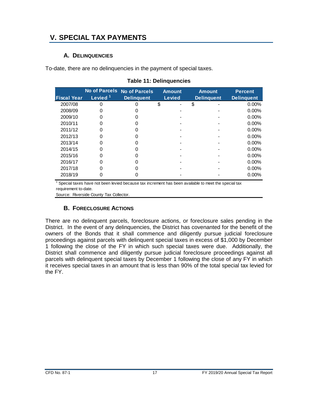# <span id="page-21-1"></span><span id="page-21-0"></span>**V. SPECIAL TAX PAYMENTS**

#### **A. DELINQUENCIES**

<span id="page-21-3"></span>To-date, there are no delinquencies in the payment of special taxes.

|                    |                     | No of Parcels No of Parcels | <b>Amount</b> | <b>Amount</b>     | <b>Percent</b>    |
|--------------------|---------------------|-----------------------------|---------------|-------------------|-------------------|
| <b>Fiscal Year</b> | Levied <sup>1</sup> | <b>Delinquent</b>           | <b>Levied</b> | <b>Delinquent</b> | <b>Delinquent</b> |
| 2007/08            |                     |                             | \$            | \$                | 0.00%             |
| 2008/09            |                     |                             |               |                   | 0.00%             |
| 2009/10            | 0                   |                             |               |                   | $0.00\%$          |
| 2010/11            |                     |                             |               |                   | $0.00\%$          |
| 2011/12            |                     |                             |               |                   | $0.00\%$          |
| 2012/13            |                     |                             |               |                   | $0.00\%$          |
| 2013/14            |                     |                             |               |                   | $0.00\%$          |
| 2014/15            |                     |                             |               |                   | $0.00\%$          |
| 2015/16            |                     |                             |               |                   | $0.00\%$          |
| 2016/17            | 0                   |                             |               |                   | $0.00\%$          |
| 2017/18            |                     |                             |               |                   | $0.00\%$          |
| 2018/19            |                     |                             |               |                   | 0.00%             |

#### **Table 11: Delinquencies**

1 Special taxes have not been levied because tax increment has been available to meet the special tax requirement to-date.

<span id="page-21-2"></span>Source: Riverside County Tax Collector.

#### **B. FORECLOSURE ACTIONS**

There are no delinquent parcels, foreclosure actions, or foreclosure sales pending in the District. In the event of any delinquencies, the District has covenanted for the benefit of the owners of the Bonds that it shall commence and diligently pursue judicial foreclosure proceedings against parcels with delinquent special taxes in excess of \$1,000 by December 1 following the close of the FY in which such special taxes were due. Additionally, the District shall commence and diligently pursue judicial foreclosure proceedings against all parcels with delinquent special taxes by December 1 following the close of any FY in which it receives special taxes in an amount that is less than 90% of the total special tax levied for the FY.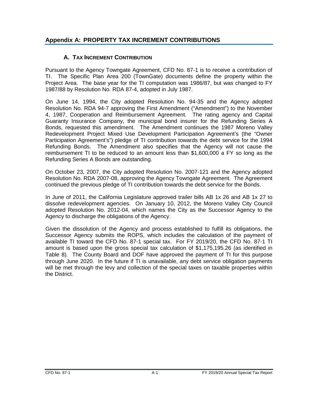## <span id="page-22-1"></span>**Appendix A: PROPERTY TAX INCREMENT CONTRIBUTIONS**

## <span id="page-22-0"></span>**A. TAX INCREMENT CONTRIBUTION**

Pursuant to the Agency Towngate Agreement, CFD No. 87-1 is to receive a contribution of TI. The Specific Plan Area 200 (TownGate) documents define the property within the Project Area. The base year for the TI computation was 1986/87, but was changed to FY 1987/88 by Resolution No. RDA 87-4, adopted in July 1987.

On June 14, 1994, the City adopted Resolution No. 94-35 and the Agency adopted Resolution No. RDA 94-7 approving the First Amendment ("Amendment") to the November 4, 1987, Cooperation and Reimbursement Agreement. The rating agency and Capital Guaranty Insurance Company, the municipal bond insurer for the Refunding Series A Bonds, requested this amendment. The Amendment continues the 1987 Moreno Valley Redevelopment Project Mixed Use Development Participation Agreement's (the "Owner Participation Agreement's") pledge of TI contribution towards the debt service for the 1994 Refunding Bonds. The Amendment also specifies that the Agency will not cause the reimbursement TI to be reduced to an amount less than \$1,600,000 a FY so long as the Refunding Series A Bonds are outstanding.

On October 23, 2007, the City adopted Resolution No. 2007-121 and the Agency adopted Resolution No. RDA 2007-08, approving the Agency Towngate Agreement. The Agreement continued the previous pledge of TI contribution towards the debt service for the Bonds.

In June of 2011, the California Legislature approved trailer bills AB 1x 26 and AB 1x 27 to dissolve redevelopment agencies. On January 10, 2012, the Moreno Valley City Council adopted Resolution No. 2012-04, which names the City as the Successor Agency to the Agency to discharge the obligations of the Agency.

Given the dissolution of the Agency and process established to fulfill its obligations, the Successor Agency submits the ROPS, which includes the calculation of the payment of available TI toward the CFD No. 87-1 special tax. For FY 2019/20, the CFD No. 87-1 TI amount is based upon the gross special tax calculation of \$1,175,195.26 (as identified in Table 8). The County Board and DOF have approved the payment of TI for this purpose through June 2020. In the future if TI is unavailable, any debt service obligation payments will be met through the levy and collection of the special taxes on taxable properties within the District.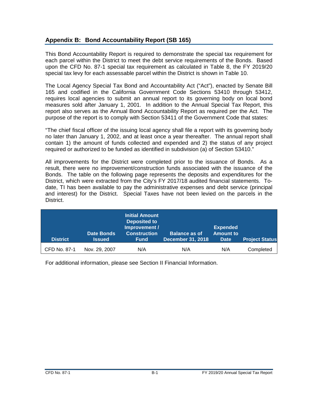#### <span id="page-23-0"></span>**Appendix B: Bond Accountability Report (SB 165)**

This Bond Accountability Report is required to demonstrate the special tax requirement for each parcel within the District to meet the debt service requirements of the Bonds. Based upon the CFD No. 87-1 special tax requirement as calculated in Table 8, the FY 2019/20 special tax levy for each assessable parcel within the District is shown in Table 10.

The Local Agency Special Tax Bond and Accountability Act ("Act"), enacted by Senate Bill 165 and codified in the California Government Code Sections 53410 through 53412, requires local agencies to submit an annual report to its governing body on local bond measures sold after January 1, 2001. In addition to the Annual Special Tax Report, this report also serves as the Annual Bond Accountability Report as required per the Act. The purpose of the report is to comply with Section 53411 of the Government Code that states:

"The chief fiscal officer of the issuing local agency shall file a report with its governing body no later than January 1, 2002, and at least once a year thereafter. The annual report shall contain 1) the amount of funds collected and expended and 2) the status of any project required or authorized to be funded as identified in subdivision (a) of Section 53410."

All improvements for the District were completed prior to the issuance of Bonds. As a result, there were no improvement/construction funds associated with the issuance of the Bonds. The table on the following page represents the deposits and expenditures for the District, which were extracted from the City's FY 2017/18 audited financial statements. Todate, TI has been available to pay the administrative expenses and debt service (principal and interest) for the District. Special Taxes have not been levied on the parcels in the District.

| <b>District</b> | <b>Date Bonds</b><br><b>Issued</b> | <b>Initial Amount</b><br><b>Deposited to</b><br>Improvement /<br><b>Construction</b><br><b>Fund</b> | <b>Balance as of</b><br><b>December 31, 2018</b> | <b>Expended</b><br><b>Amount to</b><br><b>Date</b> | <b>Project Status</b> |
|-----------------|------------------------------------|-----------------------------------------------------------------------------------------------------|--------------------------------------------------|----------------------------------------------------|-----------------------|
| CFD No. 87-1    | Nov. 29, 2007                      | N/A                                                                                                 | N/A                                              | N/A                                                | Completed             |

For additional information, please see Section II Financial Information.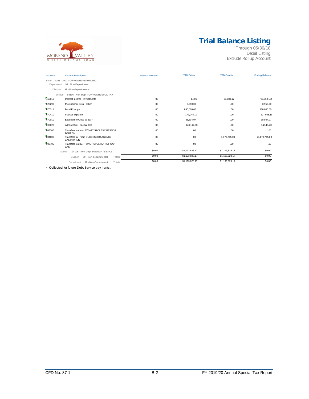# **Trial Balance Listing**



Through 06/30/18 Detail Listing Exclude Rollup Account

| Account    | <b>Account Description</b>                                  | <b>Balance Forward</b> | <b>YTD Debits</b> | <b>YTD Credits</b> | <b>Ending Balance</b> |
|------------|-------------------------------------------------------------|------------------------|-------------------|--------------------|-----------------------|
| Fund       | 4106 - 2007 TOWNGATE REFUNDING                              |                        |                   |                    |                       |
| Department | 99 - Non-Department                                         |                        |                   |                    |                       |
| Division   | 99 - Non-departmental                                       |                        |                   |                    |                       |
| Section    | 94106 - Non-Dept TOWNGATE SPCL TAX                          |                        |                   |                    |                       |
| 460010     | Interest Income - Investments                               | .00                    | 14.01             | 20.083.17          | (20,069.16)           |
| 620299     | Professional Svcs - Other                                   | .00                    | 3,950.00          | .00.               | 3,950.00              |
| 670314     | <b>Bond Principal</b>                                       | .00                    | 830,000.00        | .00.               | 830,000.00            |
| 670410     | Interest Expense                                            | .00                    | 177,945.19        | .00.               | 177,945.19            |
| 679010     | Expenditure Close to Bal*                                   | .00                    | 38.804.97         | .00.               | 38,804.97             |
| 692020     | Admin Chrg - Special Dist                                   | .00.                   | 143,114.00        | .00.               | 143,114.0             |
| 803706     | Transfers in - from TWNGT SPCL TAX REFNDG<br><b>DEBT SV</b> | .00                    | .00               | .00.               | .00                   |
| 804800     | Transfers In - From SUCCESSOR AGENCY<br><b>ADMIN FUND</b>   | .00                    | .00               | 1,173,745.00       | (1, 173, 745.00)      |
| 903406     | Transfers to 2007 TWNGT SPCLTAX REF CAP<br>ADM              | .00                    | .00               | .00.               | .00                   |
|            | 94106 - Non-Dept TOWNGATE SPCL<br>Section                   | \$0.00                 | \$1,193,828.17    | \$1,193,828.17     | \$0.00                |
|            | Totals<br>Division<br>99 - Non-departmental                 | \$0.00                 | \$1,193,828.17    | \$1,193,828.17     | \$0.00                |
|            | 99 - Non-Department<br>Totals<br>Department                 | \$0.00                 | \$1,193,828.17    | \$1,193,828.17     | \$0.00                |

\* Collected for future Debt Service payments.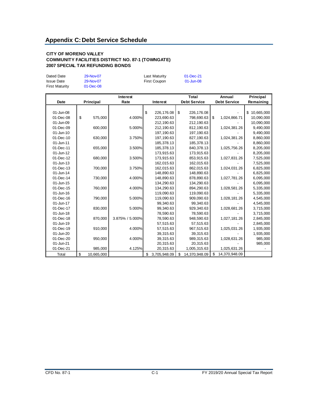#### <span id="page-25-0"></span>**CITY OF MORENO VALLEY COMMUNITY FACILITIES DISTRICT NO. 87-1 (TOWNGATE) 2007 SPECIAL TAX REFUNDING BONDS**

| Dated Date<br><b>Issue Date</b><br><b>First Maturity</b> | 29-Nov-07<br>29-Nov-07<br>$01$ -Dec-08 | Last Maturity<br>First Coupon | $01 - Dec-21$<br>01-Jun-08 |
|----------------------------------------------------------|----------------------------------------|-------------------------------|----------------------------|
|                                                          |                                        |                               |                            |

|           |           |            | Interest        |                    | Total               | Annual              | Principal |            |
|-----------|-----------|------------|-----------------|--------------------|---------------------|---------------------|-----------|------------|
| Date      | Principal |            | Rate            | Interest           | <b>Debt Service</b> | <b>Debt Service</b> |           | Remaining  |
|           |           |            |                 |                    |                     |                     |           |            |
| 01-Jun-08 |           |            |                 | \$<br>226,176.08   | \$<br>226,176.08    |                     | \$        | 10,665,000 |
| 01-Dec-08 | \$        | 575,000    | 4.000%          | 223,690.63         | 798,690.63          | \$<br>1,024,866.71  |           | 10,090,000 |
| 01-Jun-09 |           |            |                 | 212,190.63         | 212,190.63          |                     |           | 10,090,000 |
| 01-Dec-09 |           | 600,000    | 5.000%          | 212,190.63         | 812,190.63          | 1,024,381.26        |           | 9,490,000  |
| 01-Jun-10 |           |            |                 | 197,190.63         | 197,190.63          |                     |           | 9,490,000  |
| 01-Dec-10 |           | 630,000    | 3.750%          | 197,190.63         | 827,190.63          | 1,024,381.26        |           | 8,860,000  |
| 01-Jun-11 |           |            |                 | 185,378.13         | 185,378.13          |                     |           | 8,860,000  |
| 01-Dec-11 |           | 655,000    | 3.500%          | 185,378.13         | 840,378.13          | 1,025,756.26        |           | 8,205,000  |
| 01-Jun-12 |           |            |                 | 173,915.63         | 173,915.63          |                     |           | 8,205,000  |
| 01-Dec-12 |           | 680,000    | 3.500%          | 173,915.63         | 853,915.63          | 1,027,831.26        |           | 7,525,000  |
| 01-Jun-13 |           |            |                 | 162,015.63         | 162,015.63          |                     |           | 7,525,000  |
| 01-Dec-13 |           | 700,000    | 3.750%          | 162,015.63         | 862,015.63          | 1,024,031.26        |           | 6,825,000  |
| 01-Jun-14 |           |            |                 | 148,890.63         | 148,890.63          |                     |           | 6,825,000  |
| 01-Dec-14 |           | 730,000    | 4.000%          | 148,890.63         | 878,890.63          | 1,027,781.26        |           | 6,095,000  |
| 01-Jun-15 |           |            |                 | 134,290.63         | 134,290.63          |                     |           | 6,095,000  |
| 01-Dec-15 |           | 760,000    | 4.000%          | 134,290.63         | 894,290.63          | 1,028,581.26        |           | 5,335,000  |
| 01-Jun-16 |           |            |                 | 119,090.63         | 119,090.63          |                     |           | 5,335,000  |
| 01-Dec-16 |           | 790,000    | 5.000%          | 119,090.63         | 909,090.63          | 1,028,181.26        |           | 4,545,000  |
| 01-Jun-17 |           |            |                 | 99,340.63          | 99,340.63           |                     |           | 4,545,000  |
| 01-Dec-17 |           | 830,000    | 5.000%          | 99,340.63          | 929,340.63          | 1,028,681.26        |           | 3,715,000  |
| 01-Jun-18 |           |            |                 | 78,590.63          | 78,590.63           |                     |           | 3,715,000  |
| 01-Dec-18 |           | 870,000    | 3.875% / 5.000% | 78,590.63          | 948,590.63          | 1,027,181.26        |           | 2,845,000  |
| 01-Jun-19 |           |            |                 | 57,515.63          | 57,515.63           |                     |           | 2,845,000  |
| 01-Dec-19 |           | 910,000    | 4.000%          | 57,515.63          | 967,515.63          | 1,025,031.26        |           | 1,935,000  |
| 01-Jun-20 |           |            |                 | 39,315.63          | 39,315.63           |                     |           | 1,935,000  |
| 01-Dec-20 |           | 950,000    | 4.000%          | 39,315.63          | 989,315.63          | 1,028,631.26        |           | 985,000    |
| 01-Jun-21 |           |            |                 | 20,315.63          | 20,315.63           |                     |           | 985,000    |
| 01-Dec-21 |           | 985,000    | 4.125%          | 20,315.63          | 1,005,315.63        | 1,025,631.26        |           |            |
| Total     | \$        | 10,665,000 |                 | \$<br>3.705.948.09 | \$<br>14.370.948.09 | \$<br>14,370,948.09 |           |            |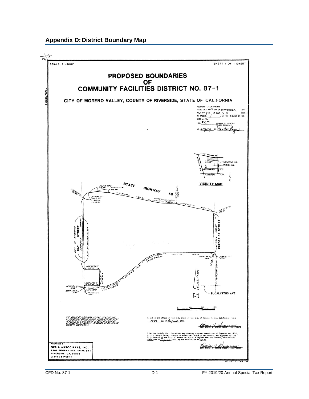#### <span id="page-26-0"></span>**Appendix D: District Boundary Map**